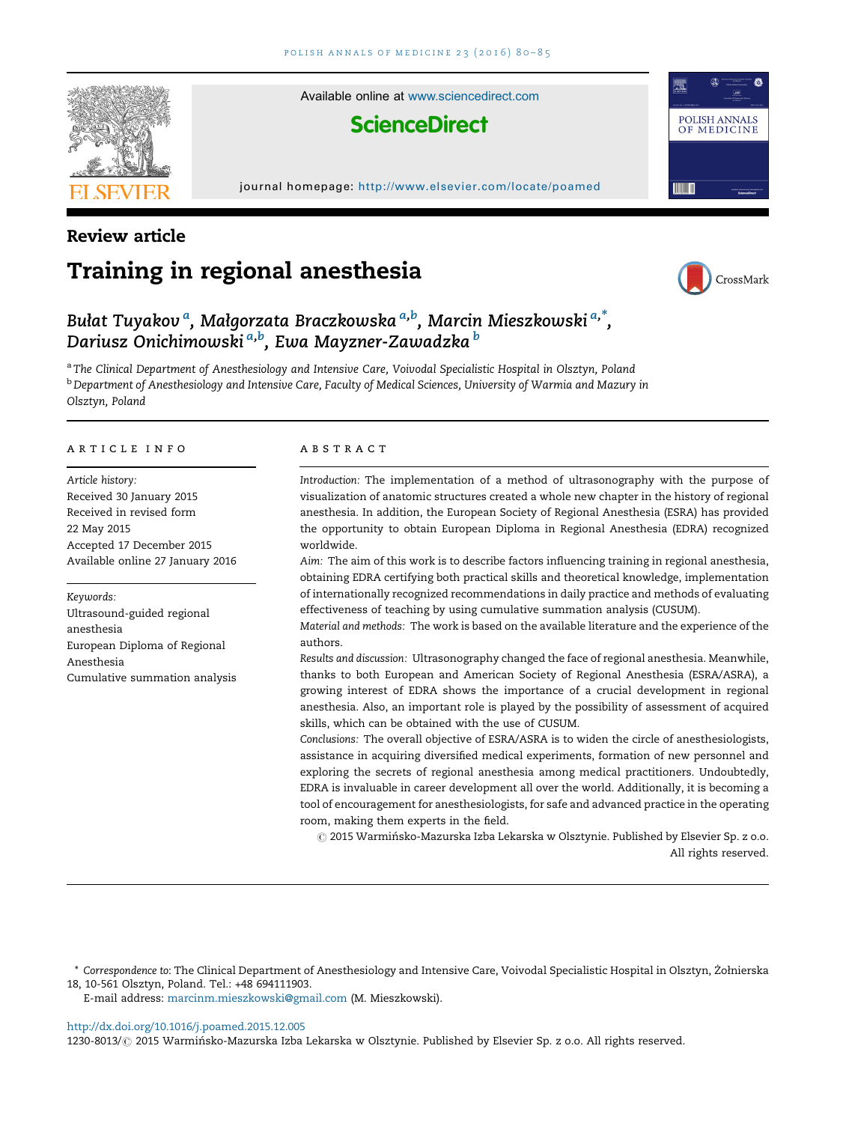

Available online at [www.sciencedirect.com](http://www.sciencedirect.com/science/journal/12308013)

# **ScienceDirect**

#### journal homepage: <http://www.elsevier.com/locate/poamed>

# Review article Training in regional anesthesia



POLISH ANNALS OF MEDICINE

**TITLE** 

# Bułat Tuyakov <sup>a</sup>, Małgorzata Braczkowska <sup>a,b</sup>, Marcin Mieszkowski <sup>a,\*</sup>, Dariusz Onichimowski <sup>a,b</sup>, Ewa Mayzner-Zawadzka <sup>b</sup>

a The Clinical Department of Anesthesiology and Intensive Care, Voivodal Specialistic Hospital in Olsztyn, Poland  $^{\rm b}$  Department of Anesthesiology and Intensive Care, Faculty of Medical Sciences, University of Warmia and Mazury in Olsztyn, Poland

#### a r t i c l e i n f o

Article history: Received 30 January 2015 Received in revised form 22 May 2015 Accepted 17 December 2015 Available online 27 January 2016

Keywords: Ultrasound-guided regional anesthesia European Diploma of Regional Anesthesia Cumulative summation analysis

#### A B S T R A C T

Introduction: The implementation of a method of ultrasonography with the purpose of visualization of anatomic structures created a whole new chapter in the history of regional anesthesia. In addition, the European Society of Regional Anesthesia (ESRA) has provided the opportunity to obtain European Diploma in Regional Anesthesia (EDRA) recognized worldwide.

Aim: The aim of this work is to describe factors influencing training in regional anesthesia, obtaining EDRA certifying both practical skills and theoretical knowledge, implementation of internationally recognized recommendations in daily practice and methods of evaluating effectiveness of teaching by using cumulative summation analysis (CUSUM).

Material and methods: The work is based on the available literature and the experience of the authors.

Results and discussion: Ultrasonography changed the face of regional anesthesia. Meanwhile, thanks to both European and American Society of Regional Anesthesia (ESRA/ASRA), a growing interest of EDRA shows the importance of a crucial development in regional anesthesia. Also, an important role is played by the possibility of assessment of acquired skills, which can be obtained with the use of CUSUM.

Conclusions: The overall objective of ESRA/ASRA is to widen the circle of anesthesiologists, assistance in acquiring diversified medical experiments, formation of new personnel and exploring the secrets of regional anesthesia among medical practitioners. Undoubtedly, EDRA is invaluable in career development all over the world. Additionally, it is becoming a tool of encouragement for anesthesiologists, for safe and advanced practice in the operating room, making them experts in the field.

 $\odot$  2015 Warmińsko-Mazurska Izba Lekarska w Olsztynie. Published by Elsevier Sp. z o.o. All rights reserved.

\* Correspondence to: The Clinical Department of Anesthesiology and Intensive Care, Voivodal Specialistic Hospital in Olsztyn, Żołnierska 18, 10-561 Olsztyn, Poland. Tel.: +48 694111903.

E-mail address: [marcinm.mieszkowski@gmail.com](mailto:marcinm.mieszkowski@gmail.com) (M. Mieszkowski).

#### <http://dx.doi.org/10.1016/j.poamed.2015.12.005>

1230-8013/ @ 2015 Warmińsko-Mazurska Izba Lekarska w Olsztynie. Published by Elsevier Sp. z o.o. All rights reserved.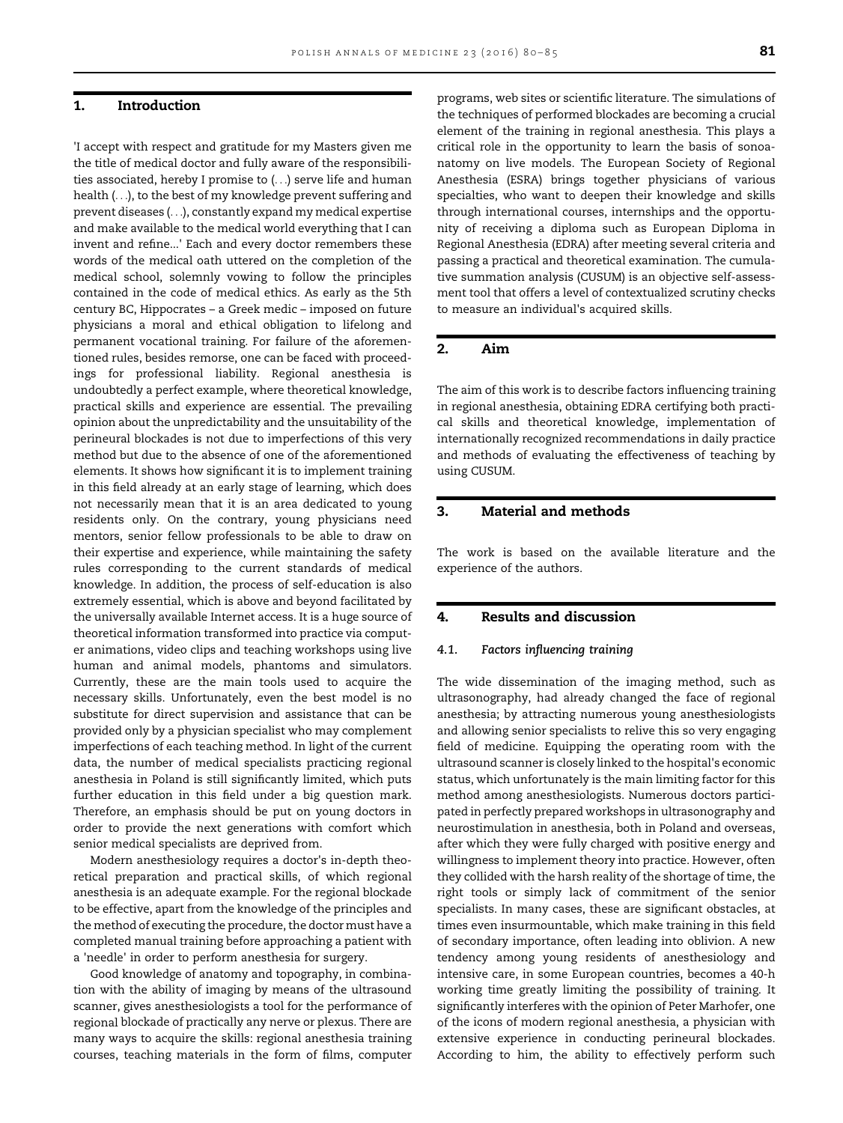# 1. Introduction

'I accept with respect and gratitude for my Masters given me the title of medical doctor and fully aware of the responsibilities associated, hereby I promise to (. . .) serve life and human health (. . .), to the best of my knowledge prevent suffering and prevent diseases (. . .), constantly expand my medical expertise and make available to the medical world everything that I can invent and refine...' Each and every doctor remembers these words of the medical oath uttered on the completion of the medical school, solemnly vowing to follow the principles contained in the code of medical ethics. As early as the 5th century BC, Hippocrates – a Greek medic – imposed on future physicians a moral and ethical obligation to lifelong and permanent vocational training. For failure of the aforementioned rules, besides remorse, one can be faced with proceedings for professional liability. Regional anesthesia is undoubtedly a perfect example, where theoretical knowledge, practical skills and experience are essential. The prevailing opinion about the unpredictability and the unsuitability of the perineural blockades is not due to imperfections of this very method but due to the absence of one of the aforementioned elements. It shows how significant it is to implement training in this field already at an early stage of learning, which does not necessarily mean that it is an area dedicated to young residents only. On the contrary, young physicians need mentors, senior fellow professionals to be able to draw on their expertise and experience, while maintaining the safety rules corresponding to the current standards of medical knowledge. In addition, the process of self-education is also extremely essential, which is above and beyond facilitated by the universally available Internet access. It is a huge source of theoretical information transformed into practice via computer animations, video clips and teaching workshops using live human and animal models, phantoms and simulators. Currently, these are the main tools used to acquire the necessary skills. Unfortunately, even the best model is no substitute for direct supervision and assistance that can be provided only by a physician specialist who may complement imperfections of each teaching method. In light of the current data, the number of medical specialists practicing regional anesthesia in Poland is still significantly limited, which puts further education in this field under a big question mark. Therefore, an emphasis should be put on young doctors in order to provide the next generations with comfort which senior medical specialists are deprived from.

Modern anesthesiology requires a doctor's in-depth theoretical preparation and practical skills, of which regional anesthesia is an adequate example. For the regional blockade to be effective, apart from the knowledge of the principles and the method of executing the procedure, the doctor must have a completed manual training before approaching a patient with a 'needle' in order to perform anesthesia for surgery.

Good knowledge of anatomy and topography, in combination with the ability of imaging by means of the ultrasound scanner, gives anesthesiologists a tool for the performance of regional blockade of practically any nerve or plexus. There are many ways to acquire the skills: regional anesthesia training courses, teaching materials in the form of films, computer programs, web sites or scientific literature. The simulations of the techniques of performed blockades are becoming a crucial element of the training in regional anesthesia. This plays a critical role in the opportunity to learn the basis of sonoanatomy on live models. The European Society of Regional Anesthesia (ESRA) brings together physicians of various specialties, who want to deepen their knowledge and skills through international courses, internships and the opportunity of receiving a diploma such as European Diploma in Regional Anesthesia (EDRA) after meeting several criteria and passing a practical and theoretical examination. The cumulative summation analysis (CUSUM) is an objective self-assessment tool that offers a level of contextualized scrutiny checks to measure an individual's acquired skills.

# 2. Aim

The aim of this work is to describe factors influencing training in regional anesthesia, obtaining EDRA certifying both practical skills and theoretical knowledge, implementation of internationally recognized recommendations in daily practice and methods of evaluating the effectiveness of teaching by using CUSUM.

# 3. Material and methods

The work is based on the available literature and the experience of the authors.

#### 4. Results and discussion

#### 4.1. Factors influencing training

The wide dissemination of the imaging method, such as ultrasonography, had already changed the face of regional anesthesia; by attracting numerous young anesthesiologists and allowing senior specialists to relive this so very engaging field of medicine. Equipping the operating room with the ultrasound scanner is closely linked to the hospital's economic status, which unfortunately is the main limiting factor for this method among anesthesiologists. Numerous doctors participated in perfectly prepared workshops in ultrasonography and neurostimulation in anesthesia, both in Poland and overseas, after which they were fully charged with positive energy and willingness to implement theory into practice. However, often they collided with the harsh reality of the shortage of time, the right tools or simply lack of commitment of the senior specialists. In many cases, these are significant obstacles, at times even insurmountable, which make training in this field of secondary importance, often leading into oblivion. A new tendency among young residents of anesthesiology and intensive care, in some European countries, becomes a 40-h working time greatly limiting the possibility of training. It significantly interferes with the opinion of Peter Marhofer, one of the icons of modern regional anesthesia, a physician with extensive experience in conducting perineural blockades. According to him, the ability to effectively perform such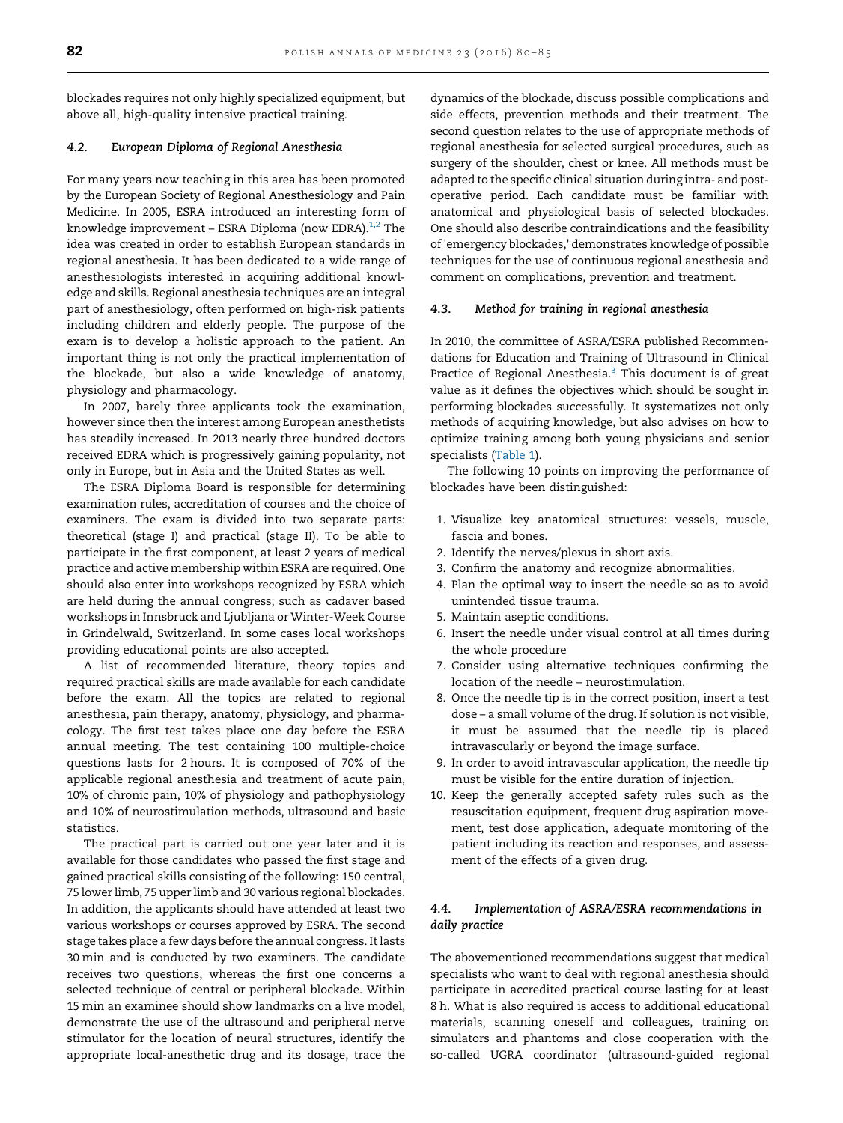blockades requires not only highly specialized equipment, but above all, high-quality intensive practical training.

#### 4.2. European Diploma of Regional Anesthesia

For many years now teaching in this area has been promoted by the European Society of Regional Anesthesiology and Pain Medicine. In 2005, ESRA introduced an interesting form of knowledge improvement – ESRA Diploma (now EDRA). $^{1,2}$  $^{1,2}$  $^{1,2}$  The idea was created in order to establish European standards in regional anesthesia. It has been dedicated to a wide range of anesthesiologists interested in acquiring additional knowledge and skills. Regional anesthesia techniques are an integral part of anesthesiology, often performed on high-risk patients including children and elderly people. The purpose of the exam is to develop a holistic approach to the patient. An important thing is not only the practical implementation of the blockade, but also a wide knowledge of anatomy, physiology and pharmacology.

In 2007, barely three applicants took the examination, however since then the interest among European anesthetists has steadily increased. In 2013 nearly three hundred doctors received EDRA which is progressively gaining popularity, not only in Europe, but in Asia and the United States as well.

The ESRA Diploma Board is responsible for determining examination rules, accreditation of courses and the choice of examiners. The exam is divided into two separate parts: theoretical (stage I) and practical (stage II). To be able to participate in the first component, at least 2 years of medical practice and active membership within ESRA are required. One should also enter into workshops recognized by ESRA which are held during the annual congress; such as cadaver based workshops in Innsbruck and Ljubljana or Winter-Week Course in Grindelwald, Switzerland. In some cases local workshops providing educational points are also accepted.

A list of recommended literature, theory topics and required practical skills are made available for each candidate before the exam. All the topics are related to regional anesthesia, pain therapy, anatomy, physiology, and pharmacology. The first test takes place one day before the ESRA annual meeting. The test containing 100 multiple-choice questions lasts for 2 hours. It is composed of 70% of the applicable regional anesthesia and treatment of acute pain, 10% of chronic pain, 10% of physiology and pathophysiology and 10% of neurostimulation methods, ultrasound and basic statistics.

The practical part is carried out one year later and it is available for those candidates who passed the first stage and gained practical skills consisting of the following: 150 central, 75 lower limb, 75 upper limb and 30 various regional blockades. In addition, the applicants should have attended at least two various workshops or courses approved by ESRA. The second stage takes place a few days before the annual congress. Itlasts 30 min and is conducted by two examiners. The candidate receives two questions, whereas the first one concerns a selected technique of central or peripheral blockade. Within 15 min an examinee should show landmarks on a live model, demonstrate the use of the ultrasound and peripheral nerve stimulator for the location of neural structures, identify the appropriate local-anesthetic drug and its dosage, trace the

dynamics of the blockade, discuss possible complications and side effects, prevention methods and their treatment. The second question relates to the use of appropriate methods of regional anesthesia for selected surgical procedures, such as surgery of the shoulder, chest or knee. All methods must be adapted to the specific clinical situation during intra- and postoperative period. Each candidate must be familiar with anatomical and physiological basis of selected blockades. One should also describe contraindications and the feasibility of 'emergency blockades,' demonstrates knowledge of possible techniques for the use of continuous regional anesthesia and comment on complications, prevention and treatment.

## 4.3. Method for training in regional anesthesia

In 2010, the committee of ASRA/ESRA published Recommendations for Education and Training of Ultrasound in Clinical Practice of Regional Anesthesia.<sup>3</sup> This document is of great value as it defines the objectives which should be sought in performing blockades successfully. It systematizes not only methods of acquiring knowledge, but also advises on how to optimize training among both young physicians and senior specialists ([Table](#page-3-0) 1).

The following 10 points on improving the performance of blockades have been distinguished:

- 1. Visualize key anatomical structures: vessels, muscle, fascia and bones.
- 2. Identify the nerves/plexus in short axis.
- 3. Confirm the anatomy and recognize abnormalities.
- 4. Plan the optimal way to insert the needle so as to avoid unintended tissue trauma.
- 5. Maintain aseptic conditions.
- 6. Insert the needle under visual control at all times during the whole procedure
- 7. Consider using alternative techniques confirming the location of the needle – neurostimulation.
- 8. Once the needle tip is in the correct position, insert a test dose – a small volume of the drug. If solution is not visible, it must be assumed that the needle tip is placed intravascularly or beyond the image surface.
- 9. In order to avoid intravascular application, the needle tip must be visible for the entire duration of injection.
- 10. Keep the generally accepted safety rules such as the resuscitation equipment, frequent drug aspiration movement, test dose application, adequate monitoring of the patient including its reaction and responses, and assessment of the effects of a given drug.

### 4.4. Implementation of ASRA/ESRA recommendations in daily practice

The abovementioned recommendations suggest that medical specialists who want to deal with regional anesthesia should participate in accredited practical course lasting for at least 8 h. What is also required is access to additional educational materials, scanning oneself and colleagues, training on simulators and phantoms and close cooperation with the so-called UGRA coordinator (ultrasound-guided regional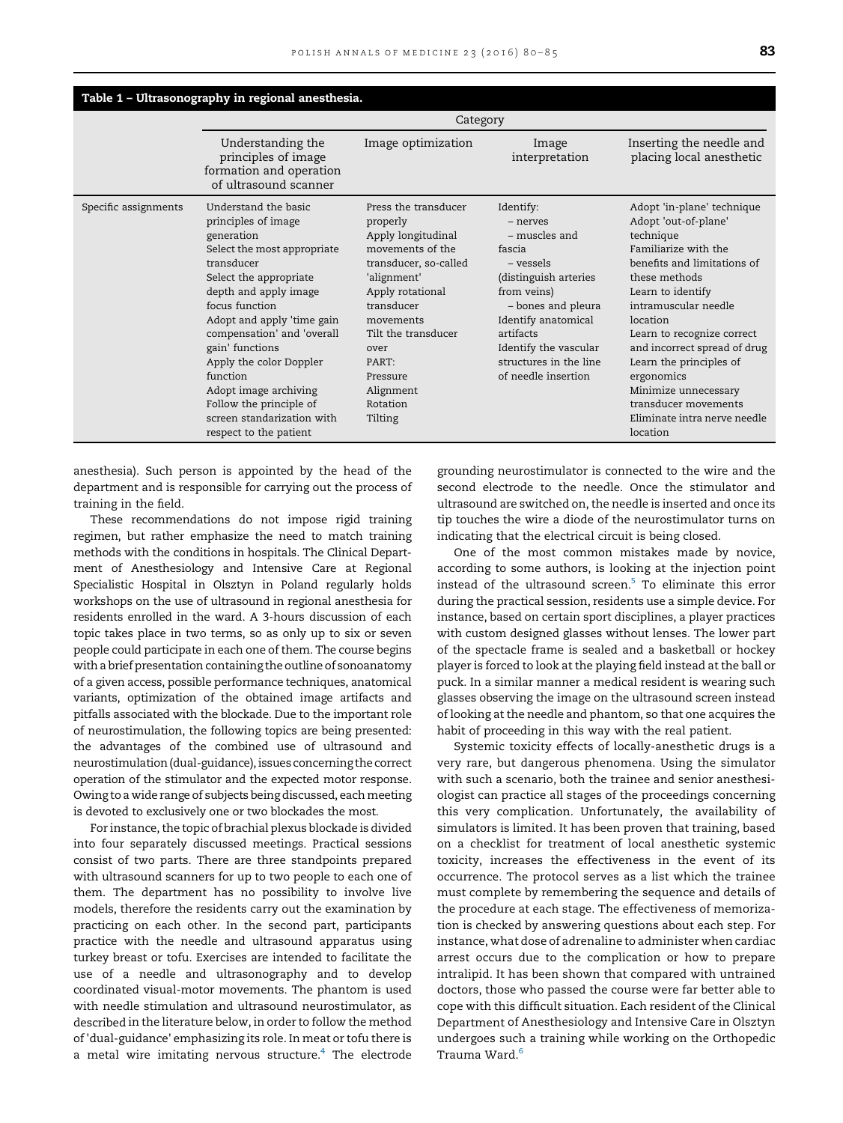<span id="page-3-0"></span>

| Table 1 - Ultrasonography in regional anesthesia. |                                                                                                                                                                                                                                                                                                                                                                                                               |                                                                                                                                                                                                                                                           |                                                                                                                                                                                                                                           |                                                                                                                                                                                                                                                                                                                                                                                                     |
|---------------------------------------------------|---------------------------------------------------------------------------------------------------------------------------------------------------------------------------------------------------------------------------------------------------------------------------------------------------------------------------------------------------------------------------------------------------------------|-----------------------------------------------------------------------------------------------------------------------------------------------------------------------------------------------------------------------------------------------------------|-------------------------------------------------------------------------------------------------------------------------------------------------------------------------------------------------------------------------------------------|-----------------------------------------------------------------------------------------------------------------------------------------------------------------------------------------------------------------------------------------------------------------------------------------------------------------------------------------------------------------------------------------------------|
|                                                   | Category                                                                                                                                                                                                                                                                                                                                                                                                      |                                                                                                                                                                                                                                                           |                                                                                                                                                                                                                                           |                                                                                                                                                                                                                                                                                                                                                                                                     |
|                                                   | Understanding the<br>principles of image<br>formation and operation<br>of ultrasound scanner                                                                                                                                                                                                                                                                                                                  | Image optimization                                                                                                                                                                                                                                        | Image<br>interpretation                                                                                                                                                                                                                   | Inserting the needle and<br>placing local anesthetic                                                                                                                                                                                                                                                                                                                                                |
| Specific assignments                              | Understand the basic<br>principles of image<br>generation<br>Select the most appropriate<br>transducer<br>Select the appropriate<br>depth and apply image<br>focus function<br>Adopt and apply 'time gain<br>compensation' and 'overall<br>gain' functions<br>Apply the color Doppler<br>function<br>Adopt image archiving<br>Follow the principle of<br>screen standarization with<br>respect to the patient | Press the transducer<br>properly<br>Apply longitudinal<br>movements of the<br>transducer, so-called<br>'alignment'<br>Apply rotational<br>transducer<br>movements<br>Tilt the transducer<br>over<br>PART:<br>Pressure<br>Alignment<br>Rotation<br>Tilting | Identify:<br>- nerves<br>- muscles and<br>fascia<br>- vessels<br>(distinguish arteries<br>from veins)<br>- bones and pleura<br>Identify anatomical<br>artifacts<br>Identify the vascular<br>structures in the line<br>of needle insertion | Adopt 'in-plane' technique<br>Adopt 'out-of-plane'<br>technique<br>Familiarize with the<br>benefits and limitations of<br>these methods<br>Learn to identify<br>intramuscular needle<br>location<br>Learn to recognize correct<br>and incorrect spread of drug<br>Learn the principles of<br>ergonomics<br>Minimize unnecessary<br>transducer movements<br>Eliminate intra nerve needle<br>location |

anesthesia). Such person is appointed by the head of the department and is responsible for carrying out the process of training in the field.

These recommendations do not impose rigid training regimen, but rather emphasize the need to match training methods with the conditions in hospitals. The Clinical Department of Anesthesiology and Intensive Care at Regional Specialistic Hospital in Olsztyn in Poland regularly holds workshops on the use of ultrasound in regional anesthesia for residents enrolled in the ward. A 3-hours discussion of each topic takes place in two terms, so as only up to six or seven people could participate in each one of them. The course begins with a brief presentation containing the outline of sonoanatomy of a given access, possible performance techniques, anatomical variants, optimization of the obtained image artifacts and pitfalls associated with the blockade. Due to the important role of neurostimulation, the following topics are being presented: the advantages of the combined use of ultrasound and neurostimulation(dual-guidance), issues concerning the correct operation of the stimulator and the expected motor response. Owing to a wide range of subjects being discussed, each meeting is devoted to exclusively one or two blockades the most.

For instance, the topic of brachial plexus blockade is divided into four separately discussed meetings. Practical sessions consist of two parts. There are three standpoints prepared with ultrasound scanners for up to two people to each one of them. The department has no possibility to involve live models, therefore the residents carry out the examination by practicing on each other. In the second part, participants practice with the needle and ultrasound apparatus using turkey breast or tofu. Exercises are intended to facilitate the use of a needle and ultrasonography and to develop coordinated visual-motor movements. The phantom is used with needle stimulation and ultrasound neurostimulator, as described in the literature below, in order to follow the method of 'dual-guidance' emphasizing its role. In meat or tofu there is a metal wire imitating nervous structure. $4$  The electrode

grounding neurostimulator is connected to the wire and the second electrode to the needle. Once the stimulator and ultrasound are switched on, the needle is inserted and once its tip touches the wire a diode of the neurostimulator turns on indicating that the electrical circuit is being closed.

One of the most common mistakes made by novice, according to some authors, is looking at the injection point instead of the ultrasound screen.<sup>5</sup> To eliminate this error during the practical session, residents use a simple device. For instance, based on certain sport disciplines, a player practices with custom designed glasses without lenses. The lower part of the spectacle frame is sealed and a basketball or hockey player is forced to look at the playing field instead at the ball or puck. In a similar manner a medical resident is wearing such glasses observing the image on the ultrasound screen instead of looking at the needle and phantom, so that one acquires the habit of proceeding in this way with the real patient.

Systemic toxicity effects of locally-anesthetic drugs is a very rare, but dangerous phenomena. Using the simulator with such a scenario, both the trainee and senior anesthesiologist can practice all stages of the proceedings concerning this very complication. Unfortunately, the availability of simulators is limited. It has been proven that training, based on a checklist for treatment of local anesthetic systemic toxicity, increases the effectiveness in the event of its occurrence. The protocol serves as a list which the trainee must complete by remembering the sequence and details of the procedure at each stage. The effectiveness of memorization is checked by answering questions about each step. For instance, what dose of adrenaline to administer when cardiac arrest occurs due to the complication or how to prepare intralipid. It has been shown that compared with untrained doctors, those who passed the course were far better able to cope with this difficult situation. Each resident of the Clinical Department of Anesthesiology and Intensive Care in Olsztyn undergoes such a training while working on the Orthopedic Trauma Ward.[6](#page-5-0)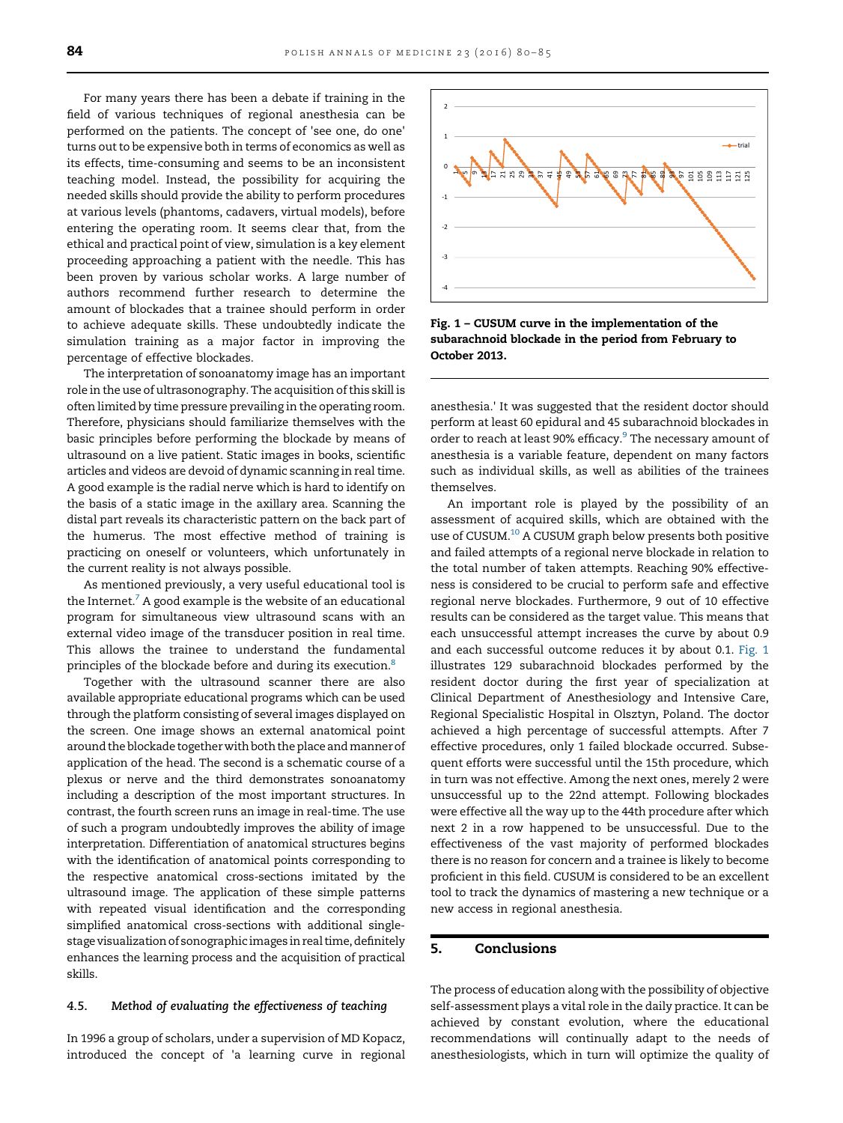For many years there has been a debate if training in the field of various techniques of regional anesthesia can be performed on the patients. The concept of 'see one, do one' turns out to be expensive both in terms of economics as well as its effects, time-consuming and seems to be an inconsistent teaching model. Instead, the possibility for acquiring the needed skills should provide the ability to perform procedures at various levels (phantoms, cadavers, virtual models), before entering the operating room. It seems clear that, from the ethical and practical point of view, simulation is a key element proceeding approaching a patient with the needle. This has been proven by various scholar works. A large number of authors recommend further research to determine the amount of blockades that a trainee should perform in order to achieve adequate skills. These undoubtedly indicate the simulation training as a major factor in improving the percentage of effective blockades.

The interpretation of sonoanatomy image has an important role in the use of ultrasonography. The acquisition ofthis skill is often limited by time pressure prevailing in the operating room. Therefore, physicians should familiarize themselves with the basic principles before performing the blockade by means of ultrasound on a live patient. Static images in books, scientific articles and videos are devoid of dynamic scanning in real time. A good example is the radial nerve which is hard to identify on the basis of a static image in the axillary area. Scanning the distal part reveals its characteristic pattern on the back part of the humerus. The most effective method of training is practicing on oneself or volunteers, which unfortunately in the current reality is not always possible.

As mentioned previously, a very useful educational tool is the Internet.<sup>[7](#page-5-0)</sup> A good example is the website of an educational program for simultaneous view ultrasound scans with an external video image of the transducer position in real time. This allows the trainee to understand the fundamental principles of the blockade before and during its execution.<sup>8</sup>

Together with the ultrasound scanner there are also available appropriate educational programs which can be used through the platform consisting of several images displayed on the screen. One image shows an external anatomical point around the blockade together with both the place and manner of application of the head. The second is a schematic course of a plexus or nerve and the third demonstrates sonoanatomy including a description of the most important structures. In contrast, the fourth screen runs an image in real-time. The use of such a program undoubtedly improves the ability of image interpretation. Differentiation of anatomical structures begins with the identification of anatomical points corresponding to the respective anatomical cross-sections imitated by the ultrasound image. The application of these simple patterns with repeated visual identification and the corresponding simplified anatomical cross-sections with additional singlestage visualization of sonographic images in real time, definitely enhances the learning process and the acquisition of practical skills.

#### 4.5. Method of evaluating the effectiveness of teaching

In 1996 a group of scholars, under a supervision of MD Kopacz, introduced the concept of 'a learning curve in regional



Fig. 1 – CUSUM curve in the implementation of the subarachnoid blockade in the period from February to October 2013.

anesthesia.' It was suggested that the resident doctor should perform at least 60 epidural and 45 subarachnoid blockades in order to reach at least [9](#page-5-0)0% efficacy.<sup>9</sup> The necessary amount of anesthesia is a variable feature, dependent on many factors such as individual skills, as well as abilities of the trainees themselves.

An important role is played by the possibility of an assessment of acquired skills, which are obtained with the use of CUSUM.<sup>[10](#page-5-0)</sup> A CUSUM graph below presents both positive and failed attempts of a regional nerve blockade in relation to the total number of taken attempts. Reaching 90% effectiveness is considered to be crucial to perform safe and effective regional nerve blockades. Furthermore, 9 out of 10 effective results can be considered as the target value. This means that each unsuccessful attempt increases the curve by about 0.9 and each successful outcome reduces it by about 0.1. Fig. 1 illustrates 129 subarachnoid blockades performed by the resident doctor during the first year of specialization at Clinical Department of Anesthesiology and Intensive Care, Regional Specialistic Hospital in Olsztyn, Poland. The doctor achieved a high percentage of successful attempts. After 7 effective procedures, only 1 failed blockade occurred. Subsequent efforts were successful until the 15th procedure, which in turn was not effective. Among the next ones, merely 2 were unsuccessful up to the 22nd attempt. Following blockades were effective all the way up to the 44th procedure after which next 2 in a row happened to be unsuccessful. Due to the effectiveness of the vast majority of performed blockades there is no reason for concern and a trainee is likely to become proficient in this field. CUSUM is considered to be an excellent tool to track the dynamics of mastering a new technique or a new access in regional anesthesia.

# 5. Conclusions

The process of education along with the possibility of objective self-assessment plays a vital role in the daily practice. It can be achieved by constant evolution, where the educational recommendations will continually adapt to the needs of anesthesiologists, which in turn will optimize the quality of